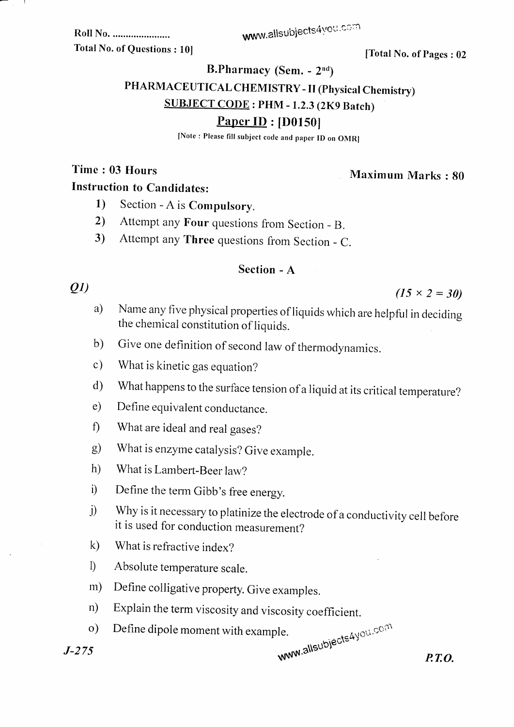www.allsubjects4you.com

Roll No. ....................... **Total No. of Questions: 101** 

[Total No. of Pages: 02

B.Pharmacy (Sem. - 2nd)

PHARMACEUTICAL CHEMISTRY - II (Physical Chemistry)

**SUBJECT CODE: PHM - 1.2.3 (2K9 Batch)** 

# **Paper ID: [D0150]**

[Note: Please fill subject code and paper ID on OMR]

Time: 03 Hours

Maximum Marks: 80

## **Instruction to Candidates:**

- Section A is Compulsory.  $1)$
- Attempt any Four questions from Section B.  $2)$
- Attempt any Three questions from Section C.  $3)$

### Section - A

### $Q1$

 $(15 \times 2 = 30)$ 

- Name any five physical properties of liquids which are helpful in deciding a) the chemical constitution of liquids.
- Give one definition of second law of thermodynamics.  $b)$
- What is kinetic gas equation?  $c)$
- What happens to the surface tension of a liquid at its critical temperature?  $\mathbf{d}$
- Define equivalent conductance.  $e)$
- $\mathbf{f}$ What are ideal and real gases?
- What is enzyme catalysis? Give example.  $g)$
- $h)$ What is Lambert-Beer law?
- Define the term Gibb's free energy.  $i)$
- Why is it necessary to platinize the electrode of a conductivity cell before  $\ddot{1}$ it is used for conduction measurement?
- $\mathbf{k}$ What is refractive index?
- $\mathbb{D}$ Absolute temperature scale.
- Define colligative property. Give examples.  $m)$
- Explain the term viscosity and viscosity coefficient.  $n)$
- www.allsubjects4you.com Define dipole moment with example.  $\circ$ )

 $J - 275$ 

 $P.T.O.$